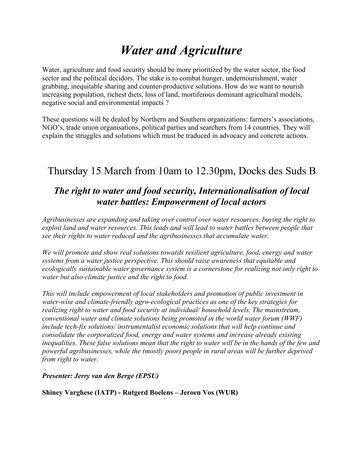# *Water and Agriculture*

Water, agriculture and food security should be more prioritized by the water sector, the food sector and the political decidors. The stake is to combat hunger, undernourishment, water grabbing, inequitable sharing and counter-productive solutions. How do we want to nourish increasing population, richest diets, loss of land, mortiferous dominant agricultural models, negative social and environmental impacts ?

These questions will be dealed by Northern and Southern organizations: farmers's associations, NGO's, trade union organisations, political parties and searchers from 14 countries. They will explain the struggles and solutions which must be traduced in advocacy and concrete actions.

# Thursday 15 March from 10am to 12.30pm, Docks des Suds B

### *The right to water and food security, Internationalisation of local water battles: Empowerment of local actors*

*Agribusinesses are expanding and taking over control over water resources, buying the right to exploit land and water resources. This leads and will lead to water battles between people that see their rights to water reduced and the agribusinesses that accumulate water.*

*We will promote and show real solutions towards resilient agriculture, food, energy and water systems from a water justice perspective. This should raise awareness that equitable and ecologically sustainable water governance system is a cornerstone for realizing not only right to water but also climate justice and the right to food.*

*This will include empowerment of local stakeholders and promotion of public investment in water-wise and climate-friendly agro-ecological practices as one of the key strategies for realizing right to water and food security at individual/ household levels. The mainstream, conventional water and climate solutions being promoted in the world water forum (WWF) include tech-fix solutions/ instrumentalist economic solutions that will help continue and consolidate the corporatized food, energy and water systems and increase already existing inequalities. These false solutions mean that the right to water will be in the hands of the few and powerful agribusinesses, while the (mostly poor) people in rural areas will be further deprived from right to water.*

*Presenter: Jerry van den Berge (EPSU)*

**Shiney Varghese (IATP) - Rutgerd Boelens – Jeroen Vos (WUR)**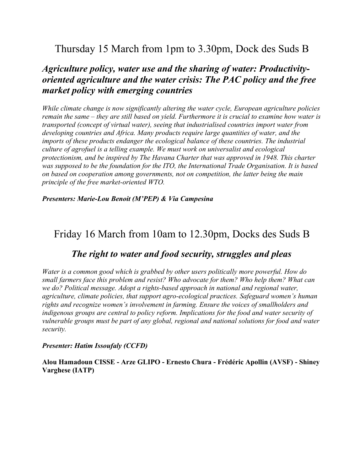# Thursday 15 March from 1pm to 3.30pm, Dock des Suds B

### *Agriculture policy, water use and the sharing of water: Productivityoriented agriculture and the water crisis: The PAC policy and the free market policy with emerging countries*

*While climate change is now significantly altering the water cycle, European agriculture policies remain the same – they are still based on yield. Furthermore it is crucial to examine how water is transported (concept of virtual water), seeing that industrialised countries import water from developing countries and Africa. Many products require large quantities of water, and the imports of these products endanger the ecological balance of these countries. The industrial culture of agrofuel is a telling example. We must work on universalist and ecological protectionism, and be inspired by The Havana Charter that was approved in 1948. This charter was supposed to be the foundation for the ITO, the International Trade Organisation. It is based on based on cooperation among governments, not on competition, the latter being the main principle of the free market-oriented WTO.*

*Presenters: Marie-Lou Benoit (M'PEP) & Via Campesina*

# Friday 16 March from 10am to 12.30pm, Docks des Suds B

### *The right to water and food security, struggles and pleas*

*Water is a common good which is grabbed by other users politically more powerful. How do small farmers face this problem and resist? Who advocate for them? Who help them? What can we do? Political message. Adopt a rights-based approach in national and regional water, agriculture, climate policies, that support agro-ecological practices. Safeguard women's human rights and recognize women's involvement in farming. Ensure the voices of smallholders and indigenous groups are central to policy reform. Implications for the food and water security of vulnerable groups must be part of any global, regional and national solutions for food and water security.*

#### *Presenter: Hatim Issoufaly (CCFD)*

**Alou Hamadoun CISSE - Arze GLIPO - Ernesto Chura - Frédéric Apollin (AVSF) - Shiney Varghese (IATP)**